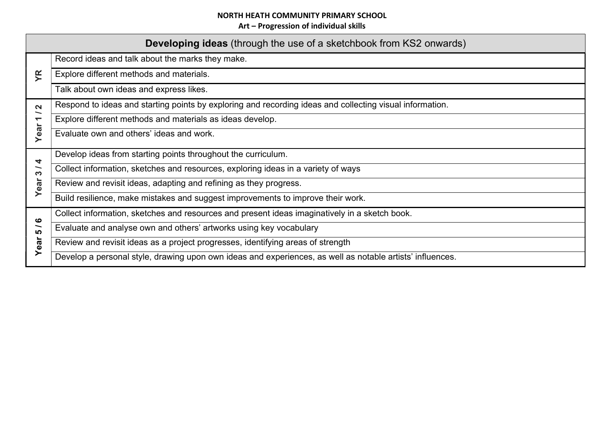|                                       | <b>Developing ideas</b> (through the use of a sketchbook from KS2 onwards)                                |
|---------------------------------------|-----------------------------------------------------------------------------------------------------------|
| ۴R                                    | Record ideas and talk about the marks they make.                                                          |
|                                       | Explore different methods and materials.                                                                  |
|                                       | Talk about own ideas and express likes.                                                                   |
| $\mathbf{\Omega}$                     | Respond to ideas and starting points by exploring and recording ideas and collecting visual information.  |
| ∽<br>$\blacktriangledown$             | Explore different methods and materials as ideas develop.                                                 |
| Year                                  | Evaluate own and others' ideas and work.                                                                  |
| 4                                     | Develop ideas from starting points throughout the curriculum.                                             |
| $\overline{\phantom{0}}$<br>က<br>Year | Collect information, sketches and resources, exploring ideas in a variety of ways                         |
|                                       | Review and revisit ideas, adapting and refining as they progress.                                         |
|                                       | Build resilience, make mistakes and suggest improvements to improve their work.                           |
| ဖ<br>~<br><u> ທ</u><br>Year           | Collect information, sketches and resources and present ideas imaginatively in a sketch book.             |
|                                       | Evaluate and analyse own and others' artworks using key vocabulary                                        |
|                                       | Review and revisit ideas as a project progresses, identifying areas of strength                           |
|                                       | Develop a personal style, drawing upon own ideas and experiences, as well as notable artists' influences. |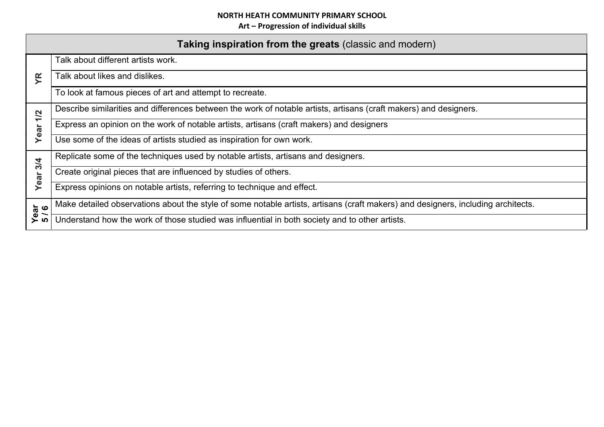| <b>Taking inspiration from the greats (classic and modern)</b> |                                                                                                                                  |
|----------------------------------------------------------------|----------------------------------------------------------------------------------------------------------------------------------|
| Ĕ                                                              | Talk about different artists work.                                                                                               |
|                                                                | Talk about likes and dislikes.                                                                                                   |
|                                                                | To look at famous pieces of art and attempt to recreate.                                                                         |
| 1/2                                                            | Describe similarities and differences between the work of notable artists, artisans (craft makers) and designers.                |
| Year                                                           | Express an opinion on the work of notable artists, artisans (craft makers) and designers                                         |
|                                                                | Use some of the ideas of artists studied as inspiration for own work.                                                            |
| 3/4<br>Year                                                    | Replicate some of the techniques used by notable artists, artisans and designers.                                                |
|                                                                | Create original pieces that are influenced by studies of others.                                                                 |
|                                                                | Express opinions on notable artists, referring to technique and effect.                                                          |
| Year<br>5/6                                                    | Make detailed observations about the style of some notable artists, artisans (craft makers) and designers, including architects. |
|                                                                | Understand how the work of those studied was influential in both society and to other artists.                                   |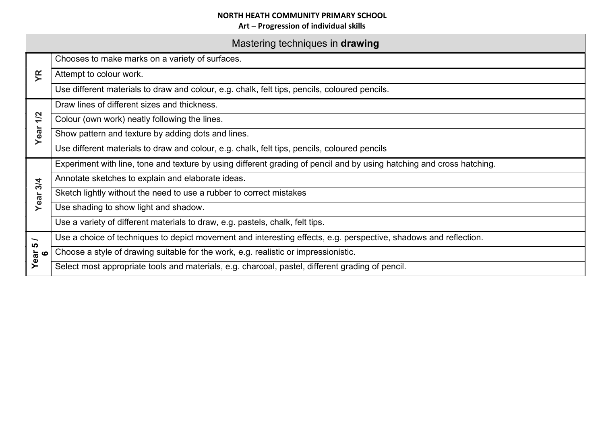| Mastering techniques in drawing                                    |                                                                                                                       |
|--------------------------------------------------------------------|-----------------------------------------------------------------------------------------------------------------------|
| Ĕ                                                                  | Chooses to make marks on a variety of surfaces.                                                                       |
|                                                                    | Attempt to colour work.                                                                                               |
|                                                                    | Use different materials to draw and colour, e.g. chalk, felt tips, pencils, coloured pencils.                         |
| 1/2                                                                | Draw lines of different sizes and thickness.                                                                          |
|                                                                    | Colour (own work) neatly following the lines.                                                                         |
| Year                                                               | Show pattern and texture by adding dots and lines.                                                                    |
|                                                                    | Use different materials to draw and colour, e.g. chalk, felt tips, pencils, coloured pencils                          |
|                                                                    | Experiment with line, tone and texture by using different grading of pencil and by using hatching and cross hatching. |
| 3/4<br>Year                                                        | Annotate sketches to explain and elaborate ideas.                                                                     |
|                                                                    | Sketch lightly without the need to use a rubber to correct mistakes                                                   |
|                                                                    | Use shading to show light and shadow.                                                                                 |
|                                                                    | Use a variety of different materials to draw, e.g. pastels, chalk, felt tips.                                         |
| $\overline{\phantom{0}}$<br><b>LC</b><br>Year<br>$\mathbf{\omega}$ | Use a choice of techniques to depict movement and interesting effects, e.g. perspective, shadows and reflection.      |
|                                                                    | Choose a style of drawing suitable for the work, e.g. realistic or impressionistic.                                   |
|                                                                    | Select most appropriate tools and materials, e.g. charcoal, pastel, different grading of pencil.                      |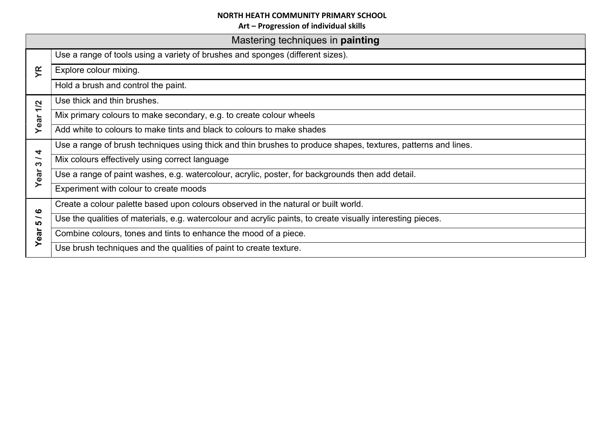| Mastering techniques in painting             |                                                                                                               |
|----------------------------------------------|---------------------------------------------------------------------------------------------------------------|
| ξ                                            | Use a range of tools using a variety of brushes and sponges (different sizes).                                |
|                                              | Explore colour mixing.                                                                                        |
|                                              | Hold a brush and control the paint.                                                                           |
| 1/2<br>Year                                  | Use thick and thin brushes.                                                                                   |
|                                              | Mix primary colours to make secondary, e.g. to create colour wheels                                           |
|                                              | Add white to colours to make tints and black to colours to make shades                                        |
| 4                                            | Use a range of brush techniques using thick and thin brushes to produce shapes, textures, patterns and lines. |
| $\overline{\phantom{0}}$<br><u>က</u><br>Year | Mix colours effectively using correct language                                                                |
|                                              | Use a range of paint washes, e.g. watercolour, acrylic, poster, for backgrounds then add detail.              |
|                                              | Experiment with colour to create moods                                                                        |
| ဖ                                            | Create a colour palette based upon colours observed in the natural or built world.                            |
| —<br><b>LO</b>                               | Use the qualities of materials, e.g. watercolour and acrylic paints, to create visually interesting pieces.   |
| Year                                         | Combine colours, tones and tints to enhance the mood of a piece.                                              |
|                                              | Use brush techniques and the qualities of paint to create texture.                                            |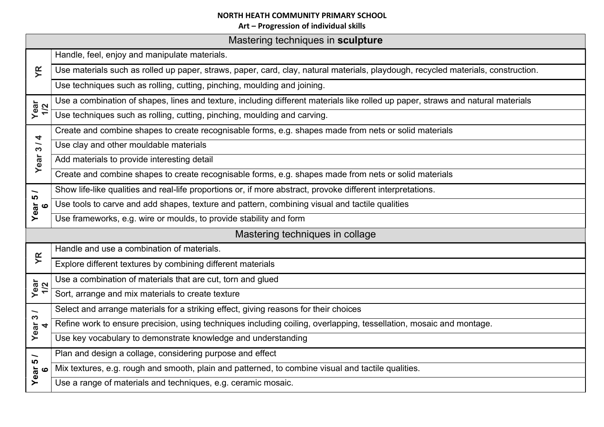| Mastering techniques in sculpture                 |                                                                                                                                   |
|---------------------------------------------------|-----------------------------------------------------------------------------------------------------------------------------------|
| ۴                                                 | Handle, feel, enjoy and manipulate materials.                                                                                     |
|                                                   | Use materials such as rolled up paper, straws, paper, card, clay, natural materials, playdough, recycled materials, construction. |
|                                                   | Use techniques such as rolling, cutting, pinching, moulding and joining.                                                          |
| Year<br>1/2                                       | Use a combination of shapes, lines and texture, including different materials like rolled up paper, straws and natural materials  |
|                                                   | Use techniques such as rolling, cutting, pinching, moulding and carving.                                                          |
| 4                                                 | Create and combine shapes to create recognisable forms, e.g. shapes made from nets or solid materials                             |
| $\overline{3}$ /                                  | Use clay and other mouldable materials                                                                                            |
| Year                                              | Add materials to provide interesting detail                                                                                       |
|                                                   | Create and combine shapes to create recognisable forms, e.g. shapes made from nets or solid materials                             |
| $\overline{\phantom{a}}$<br>LO                    | Show life-like qualities and real-life proportions or, if more abstract, provoke different interpretations.                       |
| <b>Year</b><br>ဖ                                  | Use tools to carve and add shapes, texture and pattern, combining visual and tactile qualities                                    |
|                                                   | Use frameworks, e.g. wire or moulds, to provide stability and form                                                                |
| Mastering techniques in collage                   |                                                                                                                                   |
| YR                                                | Handle and use a combination of materials.                                                                                        |
|                                                   | Explore different textures by combining different materials                                                                       |
| $Year$<br>1/2                                     | Use a combination of materials that are cut, torn and glued                                                                       |
|                                                   | Sort, arrange and mix materials to create texture                                                                                 |
| $\overline{\phantom{a}}$<br>$\boldsymbol{\omega}$ | Select and arrange materials for a striking effect, giving reasons for their choices                                              |
| Year                                              | Refine work to ensure precision, using techniques including coiling, overlapping, tessellation, mosaic and montage.               |
|                                                   | Use key vocabulary to demonstrate knowledge and understanding                                                                     |
| $\overline{\phantom{0}}$<br>LO                    | Plan and design a collage, considering purpose and effect                                                                         |
| Year<br>ဖ                                         | Mix textures, e.g. rough and smooth, plain and patterned, to combine visual and tactile qualities.                                |
|                                                   | Use a range of materials and techniques, e.g. ceramic mosaic.                                                                     |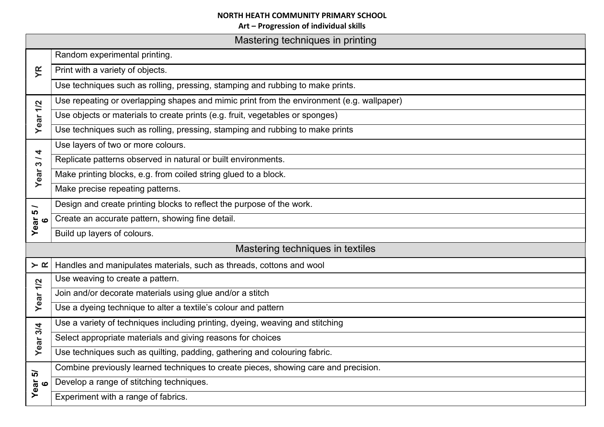| Mastering techniques in printing |                                                                                           |
|----------------------------------|-------------------------------------------------------------------------------------------|
|                                  | Random experimental printing.                                                             |
| ۴                                | Print with a variety of objects.                                                          |
|                                  | Use techniques such as rolling, pressing, stamping and rubbing to make prints.            |
|                                  | Use repeating or overlapping shapes and mimic print from the environment (e.g. wallpaper) |
| Year <sub>1/2</sub>              | Use objects or materials to create prints (e.g. fruit, vegetables or sponges)             |
|                                  | Use techniques such as rolling, pressing, stamping and rubbing to make prints             |
| 4                                | Use layers of two or more colours.                                                        |
| $\frac{1}{3}$                    | Replicate patterns observed in natural or built environments.                             |
| Year                             | Make printing blocks, e.g. from coiled string glued to a block.                           |
|                                  | Make precise repeating patterns.                                                          |
| LO                               | Design and create printing blocks to reflect the purpose of the work.                     |
| Year<br>$\bullet$                | Create an accurate pattern, showing fine detail.                                          |
|                                  | Build up layers of colours.                                                               |
|                                  | Mastering techniques in textiles                                                          |
| $\succ$ $\alpha$                 | Handles and manipulates materials, such as threads, cottons and wool                      |
|                                  | Use weaving to create a pattern.                                                          |
| Year <sub>1/2</sub>              | Join and/or decorate materials using glue and/or a stitch                                 |
|                                  | Use a dyeing technique to alter a textile's colour and pattern                            |
| 3/4                              | Use a variety of techniques including printing, dyeing, weaving and stitching             |
| Year                             | Select appropriate materials and giving reasons for choices                               |
|                                  | Use techniques such as quilting, padding, gathering and colouring fabric.                 |
| rg                               | Combine previously learned techniques to create pieces, showing care and precision.       |
| Year<br>$\boldsymbol{\omega}$    | Develop a range of stitching techniques.                                                  |
|                                  | Experiment with a range of fabrics.                                                       |